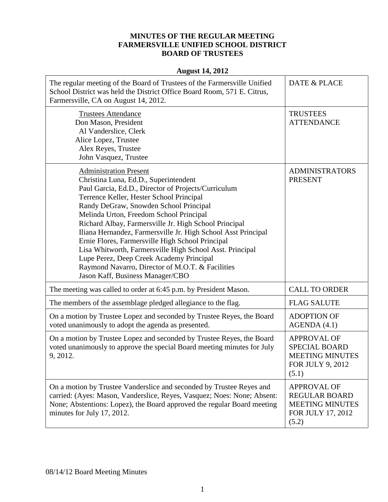## **MINUTES OF THE REGULAR MEETING FARMERSVILLE UNIFIED SCHOOL DISTRICT BOARD OF TRUSTEES**

## **August 14, 2012**

| The regular meeting of the Board of Trustees of the Farmersville Unified<br>School District was held the District Office Board Room, 571 E. Citrus,<br>Farmersville, CA on August 14, 2012.                                                                                                                                                                                                                                                                                                                                                                                                                                                  | <b>DATE &amp; PLACE</b>                                                                            |
|----------------------------------------------------------------------------------------------------------------------------------------------------------------------------------------------------------------------------------------------------------------------------------------------------------------------------------------------------------------------------------------------------------------------------------------------------------------------------------------------------------------------------------------------------------------------------------------------------------------------------------------------|----------------------------------------------------------------------------------------------------|
| <b>Trustees Attendance</b><br>Don Mason, President<br>Al Vanderslice, Clerk<br>Alice Lopez, Trustee<br>Alex Reyes, Trustee<br>John Vasquez, Trustee                                                                                                                                                                                                                                                                                                                                                                                                                                                                                          | <b>TRUSTEES</b><br><b>ATTENDANCE</b>                                                               |
| <b>Administration Present</b><br>Christina Luna, Ed.D., Superintendent<br>Paul Garcia, Ed.D., Director of Projects/Curriculum<br>Terrence Keller, Hester School Principal<br>Randy DeGraw, Snowden School Principal<br>Melinda Urton, Freedom School Principal<br>Richard Albay, Farmersville Jr. High School Principal<br>Iliana Hernandez, Farmersville Jr. High School Asst Principal<br>Ernie Flores, Farmersville High School Principal<br>Lisa Whitworth, Farmersville High School Asst. Principal<br>Lupe Perez, Deep Creek Academy Principal<br>Raymond Navarro, Director of M.O.T. & Facilities<br>Jason Kaff, Business Manager/CBO | <b>ADMINISTRATORS</b><br><b>PRESENT</b>                                                            |
| The meeting was called to order at 6:45 p.m. by President Mason.                                                                                                                                                                                                                                                                                                                                                                                                                                                                                                                                                                             | <b>CALL TO ORDER</b>                                                                               |
| The members of the assemblage pledged allegiance to the flag.                                                                                                                                                                                                                                                                                                                                                                                                                                                                                                                                                                                | <b>FLAG SALUTE</b>                                                                                 |
| On a motion by Trustee Lopez and seconded by Trustee Reyes, the Board<br>voted unanimously to adopt the agenda as presented.                                                                                                                                                                                                                                                                                                                                                                                                                                                                                                                 | <b>ADOPTION OF</b><br>AGENDA (4.1)                                                                 |
| On a motion by Trustee Lopez and seconded by Trustee Reyes, the Board<br>voted unanimously to approve the special Board meeting minutes for July<br>9, 2012.                                                                                                                                                                                                                                                                                                                                                                                                                                                                                 | <b>APPROVAL OF</b><br><b>SPECIAL BOARD</b><br><b>MEETING MINUTES</b><br>FOR JULY 9, 2012<br>(5.1)  |
| On a motion by Trustee Vanderslice and seconded by Trustee Reyes and<br>carried: (Ayes: Mason, Vanderslice, Reyes, Vasquez; Noes: None; Absent:<br>None; Abstentions: Lopez), the Board approved the regular Board meeting<br>minutes for July 17, 2012.                                                                                                                                                                                                                                                                                                                                                                                     | <b>APPROVAL OF</b><br><b>REGULAR BOARD</b><br><b>MEETING MINUTES</b><br>FOR JULY 17, 2012<br>(5.2) |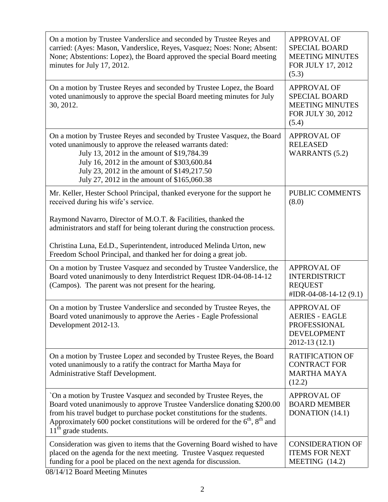| On a motion by Trustee Vanderslice and seconded by Trustee Reyes and<br>carried: (Ayes: Mason, Vanderslice, Reyes, Vasquez; Noes: None; Absent:<br>None; Abstentions: Lopez), the Board approved the special Board meeting<br>minutes for July 17, 2012.                                                                                 | <b>APPROVAL OF</b><br><b>SPECIAL BOARD</b><br><b>MEETING MINUTES</b><br>FOR JULY 17, 2012<br>(5.3)  |
|------------------------------------------------------------------------------------------------------------------------------------------------------------------------------------------------------------------------------------------------------------------------------------------------------------------------------------------|-----------------------------------------------------------------------------------------------------|
| On a motion by Trustee Reyes and seconded by Trustee Lopez, the Board<br>voted unanimously to approve the special Board meeting minutes for July<br>30, 2012.                                                                                                                                                                            | <b>APPROVAL OF</b><br><b>SPECIAL BOARD</b><br><b>MEETING MINUTES</b><br>FOR JULY 30, 2012<br>(5.4)  |
| On a motion by Trustee Reyes and seconded by Trustee Vasquez, the Board<br>voted unanimously to approve the released warrants dated:<br>July 13, 2012 in the amount of \$19,784.39<br>July 16, 2012 in the amount of \$303,600.84<br>July 23, 2012 in the amount of \$149,217.50<br>July 27, 2012 in the amount of \$165,060.38          | <b>APPROVAL OF</b><br><b>RELEASED</b><br><b>WARRANTS (5.2)</b>                                      |
| Mr. Keller, Hester School Principal, thanked everyone for the support he<br>received during his wife's service.                                                                                                                                                                                                                          | PUBLIC COMMENTS<br>(8.0)                                                                            |
| Raymond Navarro, Director of M.O.T. & Facilities, thanked the<br>administrators and staff for being tolerant during the construction process.                                                                                                                                                                                            |                                                                                                     |
| Christina Luna, Ed.D., Superintendent, introduced Melinda Urton, new<br>Freedom School Principal, and thanked her for doing a great job.                                                                                                                                                                                                 |                                                                                                     |
| On a motion by Trustee Vasquez and seconded by Trustee Vanderslice, the<br>Board voted unanimously to deny Interdistrict Request IDR-04-08-14-12<br>(Campos). The parent was not present for the hearing.                                                                                                                                | <b>APPROVAL OF</b><br><b>INTERDISTRICT</b><br><b>REQUEST</b><br>#IDR-04-08-14-12 (9.1)              |
| On a motion by Trustee Vanderslice and seconded by Trustee Reyes, the<br>Board voted unanimously to approve the Aeries - Eagle Professional<br>Development 2012-13.                                                                                                                                                                      | <b>APPROVAL OF</b><br><b>AERIES - EAGLE</b><br>PROFESSIONAL<br><b>DEVELOPMENT</b><br>2012-13 (12.1) |
| On a motion by Trustee Lopez and seconded by Trustee Reyes, the Board<br>voted unanimously to a ratify the contract for Martha Maya for<br>Administrative Staff Development.                                                                                                                                                             | <b>RATIFICATION OF</b><br><b>CONTRACT FOR</b><br><b>MARTHA MAYA</b><br>(12.2)                       |
| On a motion by Trustee Vasquez and seconded by Trustee Reyes, the<br>Board voted unanimously to approve Trustee Vanderslice donating \$200.00<br>from his travel budget to purchase pocket constitutions for the students.<br>Approximately 600 pocket constitutions will be ordered for the $6th$ , $8th$ and<br>$11th$ grade students. | <b>APPROVAL OF</b><br><b>BOARD MEMBER</b><br>DONATION (14.1)                                        |
| Consideration was given to items that the Governing Board wished to have<br>placed on the agenda for the next meeting. Trustee Vasquez requested<br>funding for a pool be placed on the next agenda for discussion.                                                                                                                      | <b>CONSIDERATION OF</b><br><b>ITEMS FOR NEXT</b><br>MEETING $(14.2)$                                |

08/14/12 Board Meeting Minutes